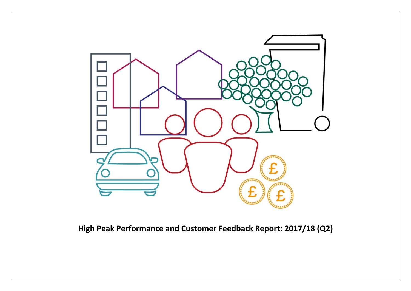

**High Peak Performance and Customer Feedback Report: 2017/18 (Q2)**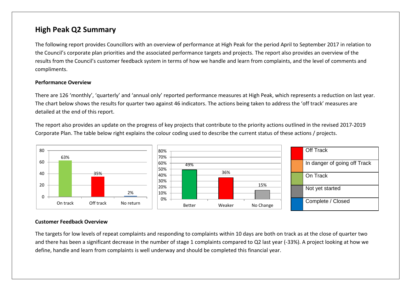## **High Peak Q2 Summary**

The following report provides Councillors with an overview of performance at High Peak for the period April to September 2017 in relation to the Council's corporate plan priorities and the associated performance targets and projects. The report also provides an overview of the results from the Council's customer feedback system in terms of how we handle and learn from complaints, and the level of comments and compliments.

#### **Performance Overview**

There are 126 'monthly', 'quarterly' and 'annual only' reported performance measures at High Peak, which represents a reduction on last year. The chart below shows the results for quarter two against 46 indicators. The actions being taken to address the 'off track' measures are detailed at the end of this report.

The report also provides an update on the progress of key projects that contribute to the priority actions outlined in the revised 2017-2019 Corporate Plan. The table below right explains the colour coding used to describe the current status of these actions / projects.



#### **Customer Feedback Overview**

The targets for low levels of repeat complaints and responding to complaints within 10 days are both on track as at the close of quarter two and there has been a significant decrease in the number of stage 1 complaints compared to Q2 last year (-33%). A project looking at how we define, handle and learn from complaints is well underway and should be completed this financial year.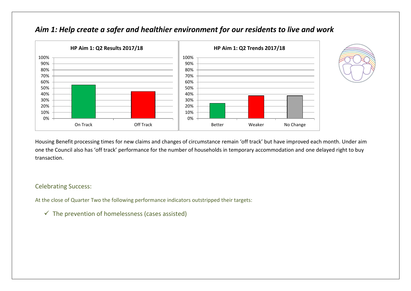

## *Aim 1: Help create a safer and healthier environment for our residents to live and work*



Housing Benefit processing times for new claims and changes of circumstance remain 'off track' but have improved each month. Under aim one the Council also has 'off track' performance for the number of households in temporary accommodation and one delayed right to buy transaction.

### Celebrating Success:

At the close of Quarter Two the following performance indicators outstripped their targets:

 $\checkmark$  The prevention of homelessness (cases assisted)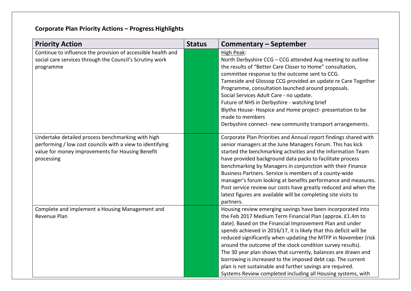# **Corporate Plan Priority Actions – Progress Highlights**

| <b>Priority Action</b>                                                                                                                                                           | <b>Status</b> | Commentary – September                                                                                                                                                                                                                                                                                                                                                                                                                                                                                                                                                                                                                                  |
|----------------------------------------------------------------------------------------------------------------------------------------------------------------------------------|---------------|---------------------------------------------------------------------------------------------------------------------------------------------------------------------------------------------------------------------------------------------------------------------------------------------------------------------------------------------------------------------------------------------------------------------------------------------------------------------------------------------------------------------------------------------------------------------------------------------------------------------------------------------------------|
| Continue to influence the provision of accessible health and<br>social care services through the Council's Scrutiny work<br>programme                                            |               | High Peak:<br>North Derbyshire CCG - CCG attended Aug meeting to outline<br>the results of "Better Care Closer to Home" consultation,<br>committee response to the outcome sent to CCG.<br>Tameside and Glossop CCG provided an update re Care Together<br>Programme, consultation launched around proposals.<br>Social Services Adult Care - no update.<br>Future of NHS in Derbyshire - watching brief<br>Blythe House-Hospice and Home project-presentation to be<br>made to members<br>Derbyshire connect- new community transport arrangements.                                                                                                    |
| Undertake detailed process benchmarking with high<br>performing / low cost councils with a view to identifying<br>value for money improvements for Housing Benefit<br>processing |               | Corporate Plan Priorities and Annual report findings shared with<br>senior managers at the June Managers Forum. This has kick<br>started the benchmarking activities and the Information Team<br>have provided background data packs to facilitate process<br>benchmarking by Managers in conjunction with their Finance<br>Business Partners. Service is members of a county-wide<br>manager's forum looking at benefits performance and measures.<br>Post service review our costs have greatly reduced and when the<br>latest figures are available will be completing site visits to<br>partners.                                                   |
| Complete and implement a Housing Management and<br>Revenue Plan                                                                                                                  |               | Housing review emerging savings have been incorporated into<br>the Feb 2017 Medium Term Financial Plan (approx. £1.4m to<br>date). Based on the Financial Improvement Plan and under<br>spends achieved in 2016/17, it is likely that this deficit will be<br>reduced significantly when updating the MTFP in November (risk<br>around the outcome of the stock condition survey results).<br>The 30 year plan shows that currently, balances are drawn and<br>borrowing is increased to the imposed debt cap. The current<br>plan is not sustainable and further savings are required.<br>Systems Review completed including all Housing systems, with |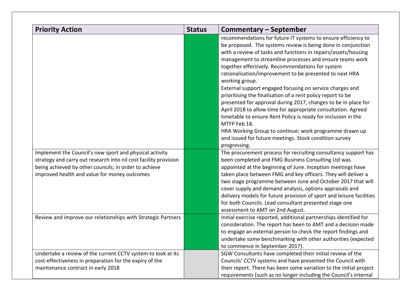| <b>Priority Action</b>                                                                                                                                                                                                               | <b>Status</b> | <b>Commentary - September</b>                                                                                                                                                                                                                                                                                                                                                                                                                                                                                                                                                                                                                                                                                                                                                                                                                                                   |
|--------------------------------------------------------------------------------------------------------------------------------------------------------------------------------------------------------------------------------------|---------------|---------------------------------------------------------------------------------------------------------------------------------------------------------------------------------------------------------------------------------------------------------------------------------------------------------------------------------------------------------------------------------------------------------------------------------------------------------------------------------------------------------------------------------------------------------------------------------------------------------------------------------------------------------------------------------------------------------------------------------------------------------------------------------------------------------------------------------------------------------------------------------|
|                                                                                                                                                                                                                                      |               | recommendations for future IT systems to ensure efficiency to<br>be proposed. The systems review is being done in conjunction<br>with a review of tasks and functions in repairs/assets/housing<br>management to streamline processes and ensure teams work<br>together effectively. Recommendations for system<br>rationalisation/improvement to be presented to next HRA<br>working group.<br>External support engaged focusing on service charges and<br>prioritising the finalisation of a rent policy report to be<br>presented for approval during 2017, changes to be in place for<br>April 2018 to allow time for appropriate consultation. Agreed<br>timetable to ensure Rent Policy is ready for inclusion in the<br>MTFP Feb 18.<br>HRA Working Group to continue; work programme drawn up<br>and issued for future meetings. Stock condition survey<br>progressing. |
| Implement the Council's new sport and physical activity<br>strategy and carry out research into nil cost facility provision<br>being achieved by other councils; in order to achieve<br>improved health and value for money outcomes |               | The procurement process for recruiting consultancy support has<br>been completed and FMG Business Consulting Ltd was<br>appointed at the beginning of June. Inception meetings have<br>taken place between FMG and key officers. They will deliver a<br>two stage programme between June and October 2017 that will<br>cover supply and demand analysis, options appraisals and<br>delivery models for future provision of sport and leisure facilities<br>for both Councils. Lead consultant presented stage one<br>assessment to AMT on 2nd August.                                                                                                                                                                                                                                                                                                                           |
| Review and improve our relationships with Strategic Partners                                                                                                                                                                         |               | Initial exercise reported, additional partnerships identified for<br>consideration. The report has been to AMT and a decision made<br>to engage an external person to check the report findings and<br>undertake some benchmarking with other authorities (expected<br>to commence in September 2017).                                                                                                                                                                                                                                                                                                                                                                                                                                                                                                                                                                          |
| Undertake a review of the current CCTV system to look at its<br>cost-effectiveness in preparation for the expiry of the<br>maintenance contract in early 2018                                                                        |               | SGW Consultants have completed their initial review of the<br>Councils' CCTV systems and have presented the Council with<br>their report. There has been some variation to the initial project<br>requirements (such as no longer including the Council's internal                                                                                                                                                                                                                                                                                                                                                                                                                                                                                                                                                                                                              |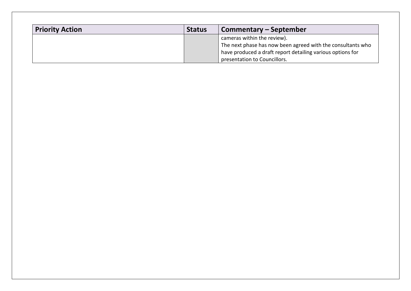| <b>Priority Action</b> | <b>Status</b> | Commentary – September                                                                     |
|------------------------|---------------|--------------------------------------------------------------------------------------------|
|                        |               | cameras within the review).<br>The next phase has now been agreed with the consultants who |
|                        |               | have produced a draft report detailing various options for<br>presentation to Councillors. |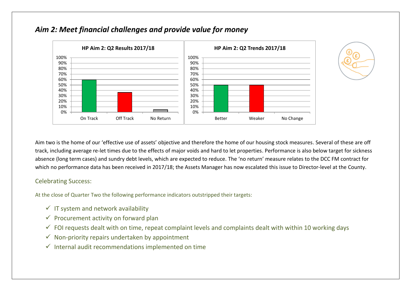

## *Aim 2: Meet financial challenges and provide value for money*



Aim two is the home of our 'effective use of assets' objective and therefore the home of our housing stock measures. Several of these are off track, including average re-let times due to the effects of major voids and hard to let properties. Performance is also below target for sickness absence (long term cases) and sundry debt levels, which are expected to reduce. The 'no return' measure relates to the DCC FM contract for which no performance data has been received in 2017/18; the Assets Manager has now escalated this issue to Director-level at the County.

### Celebrating Success:

At the close of Quarter Two the following performance indicators outstripped their targets:

- $\checkmark$  IT system and network availability
- $\checkmark$  Procurement activity on forward plan
- $\checkmark$  FOI requests dealt with on time, repeat complaint levels and complaints dealt with within 10 working days
- $\checkmark$  Non-priority repairs undertaken by appointment
- $\checkmark$  Internal audit recommendations implemented on time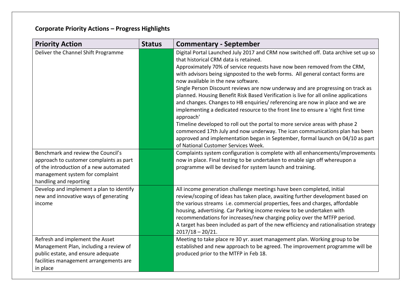# **Corporate Priority Actions – Progress Highlights**

| <b>Priority Action</b>                                                                                                                                                               | <b>Status</b> | <b>Commentary - September</b>                                                                                                                                                                                                                                                                                                                                                                                                                                                                                                                                                                                                                                                                                                                                                                                                                                                                                                                                                          |
|--------------------------------------------------------------------------------------------------------------------------------------------------------------------------------------|---------------|----------------------------------------------------------------------------------------------------------------------------------------------------------------------------------------------------------------------------------------------------------------------------------------------------------------------------------------------------------------------------------------------------------------------------------------------------------------------------------------------------------------------------------------------------------------------------------------------------------------------------------------------------------------------------------------------------------------------------------------------------------------------------------------------------------------------------------------------------------------------------------------------------------------------------------------------------------------------------------------|
| Deliver the Channel Shift Programme                                                                                                                                                  |               | Digital Portal Launched July 2017 and CRM now switched off. Data archive set up so<br>that historical CRM data is retained.<br>Approximately 70% of service requests have now been removed from the CRM,<br>with advisors being signposted to the web forms. All general contact forms are<br>now available in the new software.<br>Single Person Discount reviews are now underway and are progressing on track as<br>planned. Housing Benefit Risk Based Verification is live for all online applications<br>and changes. Changes to HB enquiries/ referencing are now in place and we are<br>implementing a dedicated resource to the front line to ensure a 'right first time<br>approach'<br>Timeline developed to roll out the portal to more service areas with phase 2<br>commenced 17th July and now underway. The ican communications plan has been<br>approved and implementation began in September, formal launch on 04/10 as part<br>of National Customer Services Week. |
| Benchmark and review the Council's<br>approach to customer complaints as part<br>of the introduction of a new automated<br>management system for complaint<br>handling and reporting |               | Complaints system configuration is complete with all enhancements/improvements<br>now in place. Final testing to be undertaken to enable sign off whereupon a<br>programme will be devised for system launch and training.                                                                                                                                                                                                                                                                                                                                                                                                                                                                                                                                                                                                                                                                                                                                                             |
| Develop and implement a plan to identify<br>new and innovative ways of generating<br>income                                                                                          |               | All income generation challenge meetings have been completed, initial<br>review/scoping of ideas has taken place, awaiting further development based on<br>the various streams i.e. commercial properties, fees and charges, affordable<br>housing, advertising. Car Parking income review to be undertaken with<br>recommendations for increases/new charging policy over the MTFP period.<br>A target has been included as part of the new efficiency and rationalisation strategy<br>$2017/18 - 20/21.$                                                                                                                                                                                                                                                                                                                                                                                                                                                                             |
| Refresh and implement the Asset<br>Management Plan, including a review of<br>public estate, and ensure adequate<br>facilities management arrangements are<br>in place                |               | Meeting to take place re 30 yr. asset management plan. Working group to be<br>established and new approach to be agreed. The improvement programme will be<br>produced prior to the MTFP in Feb 18.                                                                                                                                                                                                                                                                                                                                                                                                                                                                                                                                                                                                                                                                                                                                                                                    |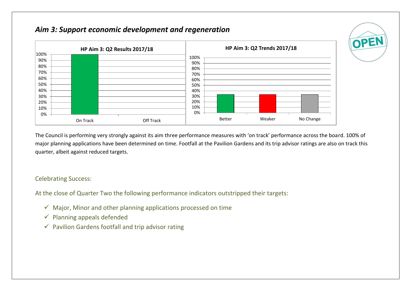## *Aim 3: Support economic development and regeneration*



The Council is performing very strongly against its aim three performance measures with 'on track' performance across the board. 100% of major planning applications have been determined on time. Footfall at the Pavilion Gardens and its trip advisor ratings are also on track this quarter, albeit against reduced targets.

OPEN

### Celebrating Success:

At the close of Quarter Two the following performance indicators outstripped their targets:

- $\checkmark$  Major, Minor and other planning applications processed on time
- $\checkmark$  Planning appeals defended
- $\checkmark$  Pavilion Gardens footfall and trip advisor rating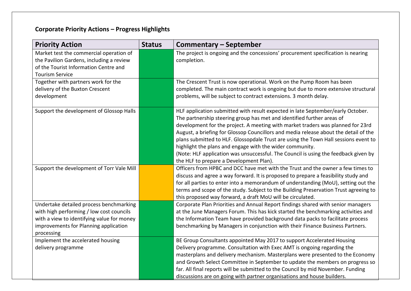# **Corporate Priority Actions – Progress Highlights**

| <b>Priority Action</b>                                                                                                                                                                   | <b>Status</b> | <b>Commentary - September</b>                                                                                                                                                                                                                                                                                                                                                                                                                                                                                                                                                                                             |
|------------------------------------------------------------------------------------------------------------------------------------------------------------------------------------------|---------------|---------------------------------------------------------------------------------------------------------------------------------------------------------------------------------------------------------------------------------------------------------------------------------------------------------------------------------------------------------------------------------------------------------------------------------------------------------------------------------------------------------------------------------------------------------------------------------------------------------------------------|
| Market test the commercial operation of<br>the Pavilion Gardens, including a review<br>of the Tourist Information Centre and<br><b>Tourism Service</b>                                   |               | The project is ongoing and the concessions' procurement specification is nearing<br>completion.                                                                                                                                                                                                                                                                                                                                                                                                                                                                                                                           |
| Together with partners work for the<br>delivery of the Buxton Crescent<br>development                                                                                                    |               | The Crescent Trust is now operational. Work on the Pump Room has been<br>completed. The main contract work is ongoing but due to more extensive structural<br>problems, will be subject to contract extensions. 3 month delay.                                                                                                                                                                                                                                                                                                                                                                                            |
| Support the development of Glossop Halls                                                                                                                                                 |               | HLF application submitted with result expected in late September/early October.<br>The partnership steering group has met and identified further areas of<br>development for the project. A meeting with market traders was planned for 23rd<br>August, a briefing for Glossop Councillors and media release about the detail of the<br>plans submitted to HLF. Glossopdale Trust are using the Town Hall sessions event to<br>highlight the plans and engage with the wider community.<br>(Note: HLF application was unsuccessful. The Council is using the feedback given by<br>the HLF to prepare a Development Plan). |
| Support the development of Torr Vale Mill                                                                                                                                                |               | Officers from HPBC and DCC have met with the Trust and the owner a few times to<br>discuss and agree a way forward. It is proposed to prepare a feasibility study and<br>for all parties to enter into a memorandum of understanding (MoU), setting out the<br>terms and scope of the study. Subject to the Building Preservation Trust agreeing to<br>this proposed way forward, a draft MoU will be circulated.                                                                                                                                                                                                         |
| Undertake detailed process benchmarking<br>with high performing / low cost councils<br>with a view to identifying value for money<br>improvements for Planning application<br>processing |               | Corporate Plan Priorities and Annual Report findings shared with senior managers<br>at the June Managers Forum. This has kick started the benchmarking activities and<br>the Information Team have provided background data packs to facilitate process<br>benchmarking by Managers in conjunction with their Finance Business Partners.                                                                                                                                                                                                                                                                                  |
| Implement the accelerated housing<br>delivery programme                                                                                                                                  |               | BE Group Consultants appointed May 2017 to support Accelerated Housing<br>Delivery programme. Consultation with Exec AMT is ongoing regarding the<br>masterplans and delivery mechanism. Masterplans were presented to the Economy<br>and Growth Select Committee in September to update the members on progress so<br>far. All final reports will be submitted to the Council by mid November. Funding<br>discussions are on going with partner organisations and house builders.                                                                                                                                        |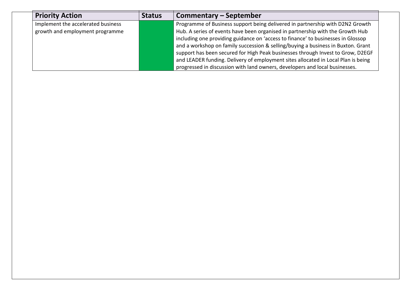| <b>Priority Action</b>             | <b>Status</b> | Commentary – September                                                            |
|------------------------------------|---------------|-----------------------------------------------------------------------------------|
| Implement the accelerated business |               | Programme of Business support being delivered in partnership with D2N2 Growth     |
| growth and employment programme    |               | Hub. A series of events have been organised in partnership with the Growth Hub    |
|                                    |               | including one providing guidance on 'access to finance' to businesses in Glossop  |
|                                    |               | and a workshop on family succession & selling/buying a business in Buxton. Grant  |
|                                    |               | support has been secured for High Peak businesses through Invest to Grow, D2EGF   |
|                                    |               | and LEADER funding. Delivery of employment sites allocated in Local Plan is being |
|                                    |               | progressed in discussion with land owners, developers and local businesses.       |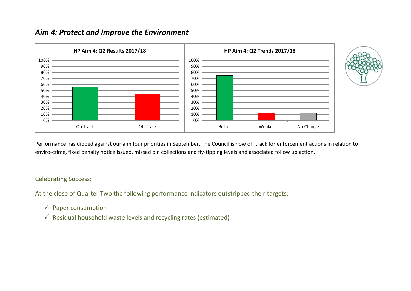## *Aim 4: Protect and Improve the Environment*



Performance has dipped against our aim four priorities in September. The Council is now off track for enforcement actions in relation to enviro-crime, fixed penalty notice issued, missed bin collections and fly-tipping levels and associated follow up action.

### Celebrating Success:

At the close of Quarter Two the following performance indicators outstripped their targets:

- $\checkmark$  Paper consumption
- $\checkmark$  Residual household waste levels and recycling rates (estimated)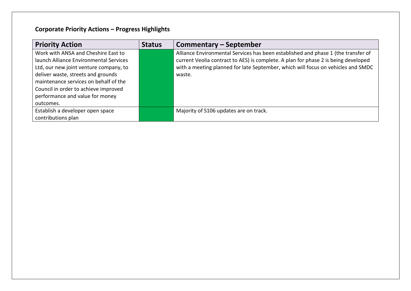# **Corporate Priority Actions – Progress Highlights**

| <b>Priority Action</b>                 | <b>Status</b> | Commentary – September                                                             |
|----------------------------------------|---------------|------------------------------------------------------------------------------------|
| Work with ANSA and Cheshire East to    |               | Alliance Environmental Services has been established and phase 1 (the transfer of  |
| launch Alliance Environmental Services |               | current Veolia contract to AES) is complete. A plan for phase 2 is being developed |
| Ltd, our new joint venture company, to |               | with a meeting planned for late September, which will focus on vehicles and SMDC   |
| deliver waste, streets and grounds     |               | waste.                                                                             |
| maintenance services on behalf of the  |               |                                                                                    |
| Council in order to achieve improved   |               |                                                                                    |
| performance and value for money        |               |                                                                                    |
| outcomes.                              |               |                                                                                    |
| Establish a developer open space       |               | Majority of S106 updates are on track.                                             |
| contributions plan                     |               |                                                                                    |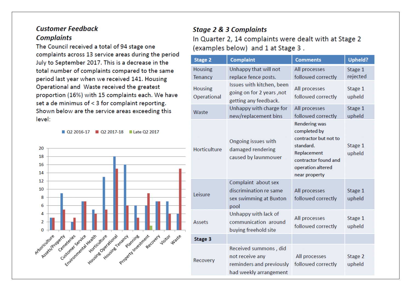### **Customer Feedback Complaints**

The Council received a total of 94 stage one complaints across 13 service areas during the period July to September 2017. This is a decrease in the total number of complaints compared to the same period last year when we received 141. Housing Operational and Waste received the greatest proportion (16%) with 15 complaints each. We have set a de minimus of < 3 for complaint reporting. Shown below are the service areas exceeding this level:

02 2016-17 02 2017-18 Late Q2 2017



# **Stage 2 & 3 Complaints** In Quarter 2, 14 complaints were dealt with at Stage 2 (examples below) and 1 at Stage 3.

| <b>Stage 2</b>                   | <b>Complaint</b>                                                                               | <b>Comments</b>                                                                                                                                         | <b>Upheld?</b>      |
|----------------------------------|------------------------------------------------------------------------------------------------|---------------------------------------------------------------------------------------------------------------------------------------------------------|---------------------|
| <b>Housing</b><br><b>Tenancy</b> | Unhappy that will not<br>replace fence posts.                                                  | All processes<br>followed correctly                                                                                                                     | Stage 1<br>rejected |
| <b>Housing</b><br>Operational    | Issues with kitchen, been<br>going on for 2 years, not<br>getting any feedback.                | All processes<br>followed correctly                                                                                                                     | Stage 1<br>upheld   |
| Waste                            | Unhappy with charge for<br>new/replacement bins                                                | All processes<br>followed correctly                                                                                                                     | Stage 1<br>upheld   |
| Horticulture                     | Ongoing issues with<br>damaged rendering<br>caused by lawnmower                                | <b>Rendering was</b><br>completed by<br>contractor but not to<br>standard.<br>Replacement<br>contractor found and<br>operation altered<br>near property | Stage 1<br>upheld   |
| Leisure                          | Complaint about sex<br>discrimination re same<br>sex swimming at Buxton<br>pool                | All processes<br>followed correctly                                                                                                                     | Stage 1<br>upheld   |
| <b>Assets</b>                    | Unhappy with lack of<br>communication around<br>buying freehold site                           | All processes<br>followed correctly                                                                                                                     | Stage 1<br>upheld   |
| Stage 3                          |                                                                                                |                                                                                                                                                         |                     |
| Recovery                         | Received summons, did<br>not receive any<br>reminders and previously<br>had weekly arrangement | All processes<br>followed correctly                                                                                                                     | Stage 2<br>upheld   |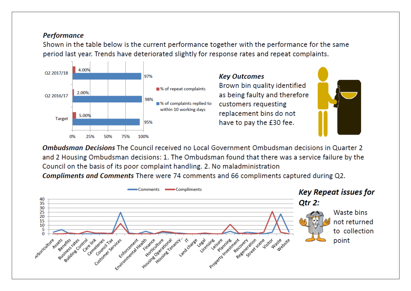### **Performance**

Shown in the table below is the current performance together with the performance for the same period last year. Trends have deteriorated slightly for response rates and repeat complaints.



**Ombudsman Decisions** The Council received no Local Government Ombudsman decisions in Quarter 2 and 2 Housing Ombudsman decisions: 1. The Ombudsman found that there was a service failure by the Council on the basis of its poor complaint handling, 2. No maladministration

Compliments and Comments There were 74 comments and 66 compliments captured during Q2.

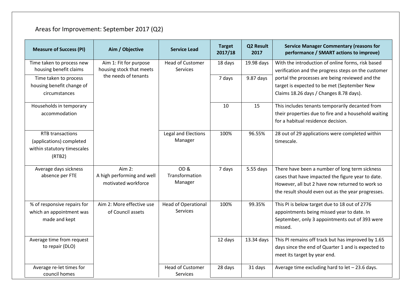# Areas for Improvement: September 2017 (Q2)

| <b>Measure of Success (PI)</b>                                                               | Aim / Objective                                             | <b>Service Lead</b>                           | <b>Target</b><br>2017/18 | <b>Q2 Result</b><br>2017 | <b>Service Manager Commentary (reasons for</b><br>performance / SMART actions to improve)                                                                                                                    |
|----------------------------------------------------------------------------------------------|-------------------------------------------------------------|-----------------------------------------------|--------------------------|--------------------------|--------------------------------------------------------------------------------------------------------------------------------------------------------------------------------------------------------------|
| Time taken to process new<br>housing benefit claims                                          | Aim 1: Fit for purpose<br>housing stock that meets          | <b>Head of Customer</b><br><b>Services</b>    | 18 days                  | 19.98 days               | With the introduction of online forms, risk based<br>verification and the progress steps on the customer                                                                                                     |
| Time taken to process<br>housing benefit change of<br>circumstances                          | the needs of tenants                                        |                                               | 7 days                   | 9.87 days                | portal the processes are being reviewed and the<br>target is expected to be met (September New<br>Claims 18.26 days / Changes 8.78 days).                                                                    |
| Households in temporary<br>accommodation                                                     |                                                             |                                               | 10                       | 15                       | This includes tenants temporarily decanted from<br>their properties due to fire and a household waiting<br>for a habitual residence decision.                                                                |
| <b>RTB</b> transactions<br>(applications) completed<br>within statutory timescales<br>(RTB2) |                                                             | Legal and Elections<br>Manager                | 100%                     | 96.55%                   | 28 out of 29 applications were completed within<br>timescale.                                                                                                                                                |
| Average days sickness<br>absence per FTE                                                     | Aim 2:<br>A high performing and well<br>motivated workforce | OD&<br>Transformation<br>Manager              | 7 days                   | $5.55$ days              | There have been a number of long term sickness<br>cases that have impacted the figure year to date.<br>However, all but 2 have now returned to work so<br>the result should even out as the year progresses. |
| % of responsive repairs for<br>which an appointment was<br>made and kept                     | Aim 2: More effective use<br>of Council assets              | <b>Head of Operational</b><br><b>Services</b> | 100%                     | 99.35%                   | This PI is below target due to 18 out of 2776<br>appointments being missed year to date. In<br>September, only 3 appointments out of 393 were<br>missed.                                                     |
| Average time from request<br>to repair (DLO)                                                 |                                                             |                                               | 12 days                  | 13.34 days               | This PI remains off track but has improved by 1.65<br>days since the end of Quarter 1 and is expected to<br>meet its target by year end.                                                                     |
| Average re-let times for<br>council homes                                                    |                                                             | <b>Head of Customer</b><br><b>Services</b>    | 28 days                  | 31 days                  | Average time excluding hard to let - 23.6 days.                                                                                                                                                              |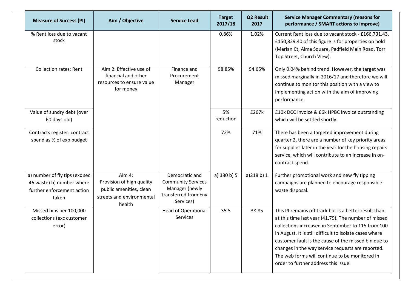| <b>Measure of Success (PI)</b>                                                                     | Aim / Objective                                                                                       | <b>Service Lead</b>                                                                                | <b>Target</b><br>2017/18 | Q2 Result<br>2017 | <b>Service Manager Commentary (reasons for</b><br>performance / SMART actions to improve)                                                                                                                                                                                                                                                                                                                                             |
|----------------------------------------------------------------------------------------------------|-------------------------------------------------------------------------------------------------------|----------------------------------------------------------------------------------------------------|--------------------------|-------------------|---------------------------------------------------------------------------------------------------------------------------------------------------------------------------------------------------------------------------------------------------------------------------------------------------------------------------------------------------------------------------------------------------------------------------------------|
| % Rent loss due to vacant<br>stock                                                                 |                                                                                                       |                                                                                                    | 0.86%                    | 1.02%             | Current Rent loss due to vacant stock - £166,731.43.<br>£150,829.40 of this figure is for properties on hold<br>(Marian Ct, Alma Square, Padfield Main Road, Torr<br>Top Street, Church View).                                                                                                                                                                                                                                        |
| <b>Collection rates: Rent</b>                                                                      | Aim 2: Effective use of<br>financial and other<br>resources to ensure value<br>for money              | Finance and<br>Procurement<br>Manager                                                              | 98.85%                   | 94.65%            | Only 0.04% behind trend. However, the target was<br>missed marginally in 2016/17 and therefore we will<br>continue to monitor this position with a view to<br>implementing action with the aim of improving<br>performance.                                                                                                                                                                                                           |
| Value of sundry debt (over<br>60 days old)                                                         |                                                                                                       |                                                                                                    | 5%<br>reduction          | £267k             | £10k DCC invoice & £6k HPBC invoice outstanding<br>which will be settled shortly.                                                                                                                                                                                                                                                                                                                                                     |
| Contracts register: contract<br>spend as % of exp budget                                           |                                                                                                       |                                                                                                    | 72%                      | 71%               | There has been a targeted improvement during<br>quarter 2, there are a number of key priority areas<br>for supplies later in the year for the housing repairs<br>service, which will contribute to an increase in on-<br>contract spend.                                                                                                                                                                                              |
| a) number of fly tips (exc sec<br>46 waste) b) number where<br>further enforcement action<br>taken | Aim 4:<br>Provision of high quality<br>public amenities, clean<br>streets and environmental<br>health | Democratic and<br><b>Community Services</b><br>Manager (newly<br>transferred from Env<br>Services) | a) 380 b) 5              | a)218 b) 1        | Further promotional work and new fly tipping<br>campaigns are planned to encourage responsible<br>waste disposal.                                                                                                                                                                                                                                                                                                                     |
| Missed bins per 100,000<br>collections (exc customer<br>error)                                     |                                                                                                       | <b>Head of Operational</b><br>Services                                                             | 35.5                     | 38.85             | This PI remains off track but is a better result than<br>at this time last year (41.79). The number of missed<br>collections increased in September to 115 from 100<br>in August. It is still difficult to isolate cases where<br>customer fault is the cause of the missed bin due to<br>changes in the way service requests are reported.<br>The web forms will continue to be monitored in<br>order to further address this issue. |